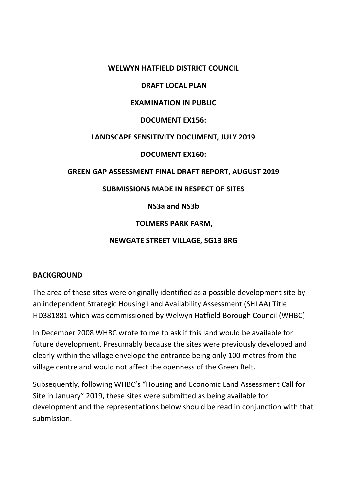## **WELWYN HATFIELD DISTRICT COUNCIL**

## **DRAFT LOCAL PLAN**

## **EXAMINATION IN PUBLIC**

#### **DOCUMENT EX156:**

## **LANDSCAPE SENSITIVITY DOCUMENT, JULY 2019**

## **DOCUMENT EX160:**

## **GREEN GAP ASSESSMENT FINAL DRAFT REPORT, AUGUST 2019**

## **SUBMISSIONS MADE IN RESPECT OF SITES**

## **NS3a and NS3b**

# **TOLMERS PARK FARM,**

## **NEWGATE STREET VILLAGE, SG13 8RG**

#### **BACKGROUND**

The area of these sites were originally identified as a possible development site by an independent Strategic Housing Land Availability Assessment (SHLAA) Title HD381881 which was commissioned by Welwyn Hatfield Borough Council (WHBC)

In December 2008 WHBC wrote to me to ask if this land would be available for future development. Presumably because the sites were previously developed and clearly within the village envelope the entrance being only 100 metres from the village centre and would not affect the openness of the Green Belt.

Subsequently, following WHBC's "Housing and Economic Land Assessment Call for Site in January" 2019, these sites were submitted as being available for development and the representations below should be read in conjunction with that submission.